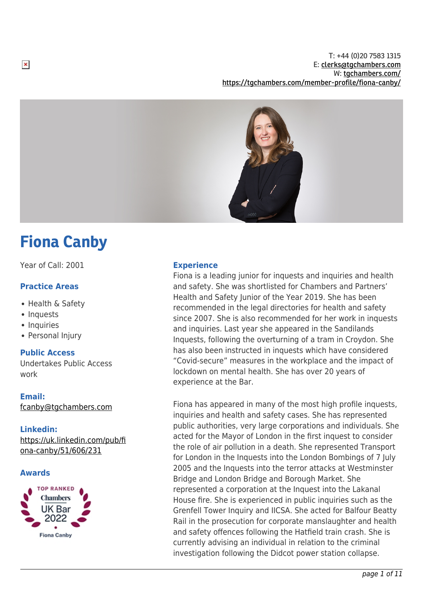T: +44 (0)20 7583 1315 E: [clerks@tgchambers.com](mailto:clerks@tgchambers.com) W: [tgchambers.com/](http://tgchambers.com/) <https://tgchambers.com/member-profile/fiona-canby/>



# Fiona Canby

Year of Call: 2001

# **Practice Areas**

- Health & Safety
- Inquests
- Inquiries
- Personal Injury

### **Public Access**

Undertakes Public Access work

# **Email:** [fcanby@tgchambers.com](mailto:fcanby@tgchambers.com)

### **Linkedin:**

[https://uk.linkedin.com/pub/fi](https://uk.linkedin.com/pub/fiona-canby/51/606/231) [ona-canby/51/606/231](https://uk.linkedin.com/pub/fiona-canby/51/606/231)

### **Awards**



### **Experience**

Fiona is a leading junior for inquests and inquiries and health and safety. She was shortlisted for Chambers and Partners' Health and Safety Junior of the Year 2019. She has been recommended in the legal directories for health and safety since 2007. She is also recommended for her work in inquests and inquiries. Last year she appeared in the Sandilands Inquests, following the overturning of a tram in Croydon. She has also been instructed in inquests which have considered "Covid-secure" measures in the workplace and the impact of lockdown on mental health. She has over 20 years of experience at the Bar.

Fiona has appeared in many of the most high profile inquests, inquiries and health and safety cases. She has represented public authorities, very large corporations and individuals. She acted for the Mayor of London in the first inquest to consider the role of air pollution in a death. She represented Transport for London in the Inquests into the London Bombings of 7 July 2005 and the Inquests into the terror attacks at Westminster Bridge and London Bridge and Borough Market. She represented a corporation at the Inquest into the Lakanal House fire. She is experienced in public inquiries such as the Grenfell Tower Inquiry and IICSA. She acted for Balfour Beatty Rail in the prosecution for corporate manslaughter and health and safety offences following the Hatfield train crash. She is currently advising an individual in relation to the criminal investigation following the Didcot power station collapse.

 $\pmb{\times}$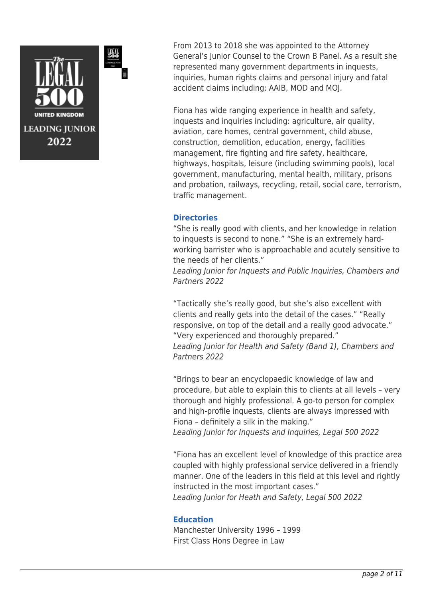

From 2013 to 2018 she was appointed to the Attorney General's Junior Counsel to the Crown B Panel. As a result she represented many government departments in inquests, inquiries, human rights claims and personal injury and fatal accident claims including: AAIB, MOD and MOJ.

Fiona has wide ranging experience in health and safety, inquests and inquiries including: agriculture, air quality, aviation, care homes, central government, child abuse, construction, demolition, education, energy, facilities management, fire fighting and fire safety, healthcare, highways, hospitals, leisure (including swimming pools), local government, manufacturing, mental health, military, prisons and probation, railways, recycling, retail, social care, terrorism, traffic management.

# **Directories**

"She is really good with clients, and her knowledge in relation to inquests is second to none." "She is an extremely hardworking barrister who is approachable and acutely sensitive to the needs of her clients."

Leading Junior for Inquests and Public Inquiries, Chambers and Partners 2022

"Tactically she's really good, but she's also excellent with clients and really gets into the detail of the cases." "Really responsive, on top of the detail and a really good advocate." "Very experienced and thoroughly prepared." Leading Junior for Health and Safety (Band 1), Chambers and Partners 2022

"Brings to bear an encyclopaedic knowledge of law and procedure, but able to explain this to clients at all levels – very thorough and highly professional. A go-to person for complex and high-profile inquests, clients are always impressed with Fiona – definitely a silk in the making." Leading Junior for Inquests and Inquiries, Legal 500 2022

"Fiona has an excellent level of knowledge of this practice area coupled with highly professional service delivered in a friendly manner. One of the leaders in this field at this level and rightly instructed in the most important cases." Leading Junior for Heath and Safety, Legal 500 2022

# **Education**

Manchester University 1996 – 1999 First Class Hons Degree in Law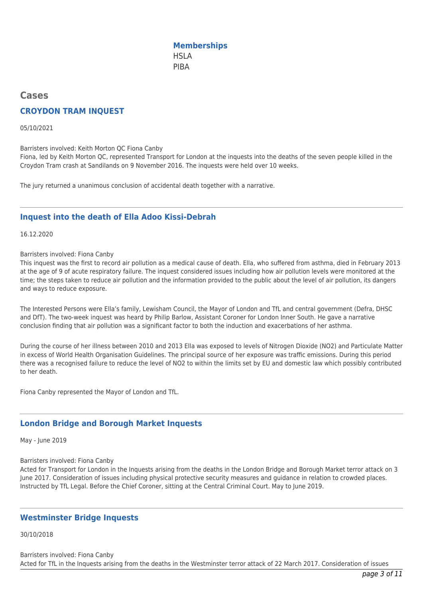**Memberships HSLA** PIBA

# **Cases**

# **CROYDON TRAM INQUEST**

05/10/2021

Barristers involved: Keith Morton QC Fiona Canby

Fiona, led by Keith Morton QC, represented Transport for London at the inquests into the deaths of the seven people killed in the Croydon Tram crash at Sandilands on 9 November 2016. The inquests were held over 10 weeks.

The jury returned a unanimous conclusion of accidental death together with a narrative.

# **Inquest into the death of Ella Adoo Kissi-Debrah**

16.12.2020

#### Barristers involved: Fiona Canby

This inquest was the first to record air pollution as a medical cause of death. Ella, who suffered from asthma, died in February 2013 at the age of 9 of acute respiratory failure. The inquest considered issues including how air pollution levels were monitored at the time; the steps taken to reduce air pollution and the information provided to the public about the level of air pollution, its dangers and ways to reduce exposure.

The Interested Persons were Ella's family, Lewisham Council, the Mayor of London and TfL and central government (Defra, DHSC and DfT). The two-week inquest was heard by Philip Barlow, Assistant Coroner for London Inner South. He gave a narrative conclusion finding that air pollution was a significant factor to both the induction and exacerbations of her asthma.

During the course of her illness between 2010 and 2013 Ella was exposed to levels of Nitrogen Dioxide (NO2) and Particulate Matter in excess of World Health Organisation Guidelines. The principal source of her exposure was traffic emissions. During this period there was a recognised failure to reduce the level of NO2 to within the limits set by EU and domestic law which possibly contributed to her death.

Fiona Canby represented the Mayor of London and TfL.

### **London Bridge and Borough Market Inquests**

May - June 2019

Barristers involved: Fiona Canby

Acted for Transport for London in the Inquests arising from the deaths in the London Bridge and Borough Market terror attack on 3 June 2017. Consideration of issues including physical protective security measures and guidance in relation to crowded places. Instructed by TfL Legal. Before the Chief Coroner, sitting at the Central Criminal Court. May to June 2019.

# **Westminster Bridge Inquests**

30/10/2018

Barristers involved: Fiona Canby Acted for TfL in the Inquests arising from the deaths in the Westminster terror attack of 22 March 2017. Consideration of issues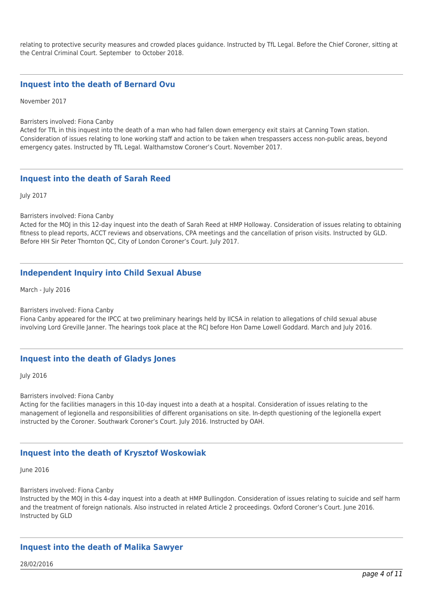relating to protective security measures and crowded places guidance. Instructed by TfL Legal. Before the Chief Coroner, sitting at the Central Criminal Court. September to October 2018.

### **Inquest into the death of Bernard Ovu**

November 2017

Barristers involved: Fiona Canby

Acted for TfL in this inquest into the death of a man who had fallen down emergency exit stairs at Canning Town station. Consideration of issues relating to lone working staff and action to be taken when trespassers access non-public areas, beyond emergency gates. Instructed by TfL Legal. Walthamstow Coroner's Court. November 2017.

### **Inquest into the death of Sarah Reed**

July 2017

Barristers involved: Fiona Canby

Acted for the MOJ in this 12-day inquest into the death of Sarah Reed at HMP Holloway. Consideration of issues relating to obtaining fitness to plead reports, ACCT reviews and observations, CPA meetings and the cancellation of prison visits. Instructed by GLD. Before HH Sir Peter Thornton QC, City of London Coroner's Court. July 2017.

### **Independent Inquiry into Child Sexual Abuse**

March - July 2016

Barristers involved: Fiona Canby

Fiona Canby appeared for the IPCC at two preliminary hearings held by IICSA in relation to allegations of child sexual abuse involving Lord Greville Janner. The hearings took place at the RCJ before Hon Dame Lowell Goddard. March and July 2016.

### **Inquest into the death of Gladys Jones**

July 2016

Barristers involved: Fiona Canby

Acting for the facilities managers in this 10-day inquest into a death at a hospital. Consideration of issues relating to the management of legionella and responsibilities of different organisations on site. In-depth questioning of the legionella expert instructed by the Coroner. Southwark Coroner's Court. July 2016. Instructed by OAH.

### **Inquest into the death of Krysztof Woskowiak**

June 2016

Barristers involved: Fiona Canby

Instructed by the MOJ in this 4-day inquest into a death at HMP Bullingdon. Consideration of issues relating to suicide and self harm and the treatment of foreign nationals. Also instructed in related Article 2 proceedings. Oxford Coroner's Court. June 2016. Instructed by GLD

### **Inquest into the death of Malika Sawyer**

28/02/2016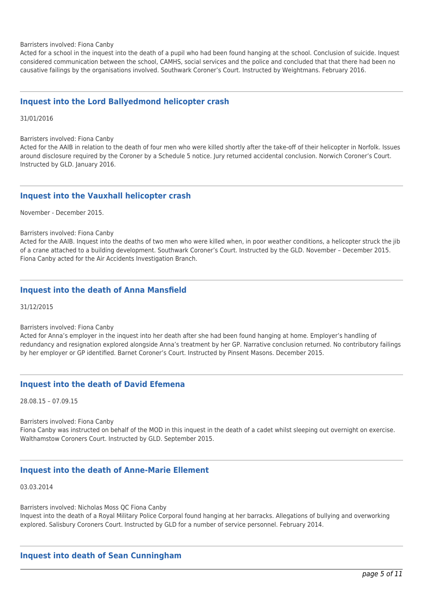Barristers involved: Fiona Canby

Acted for a school in the inquest into the death of a pupil who had been found hanging at the school. Conclusion of suicide. Inquest considered communication between the school, CAMHS, social services and the police and concluded that that there had been no causative failings by the organisations involved. Southwark Coroner's Court. Instructed by Weightmans. February 2016.

### **Inquest into the Lord Ballyedmond helicopter crash**

31/01/2016

Barristers involved: Fiona Canby

Acted for the AAIB in relation to the death of four men who were killed shortly after the take-off of their helicopter in Norfolk. Issues around disclosure required by the Coroner by a Schedule 5 notice. Jury returned accidental conclusion. Norwich Coroner's Court. Instructed by GLD. January 2016.

#### **Inquest into the Vauxhall helicopter crash**

November - December 2015.

Barristers involved: Fiona Canby

Acted for the AAIB. Inquest into the deaths of two men who were killed when, in poor weather conditions, a helicopter struck the jib of a crane attached to a building development. Southwark Coroner's Court. Instructed by the GLD. November – December 2015. Fiona Canby acted for the Air Accidents Investigation Branch.

### **Inquest into the death of Anna Mansfield**

31/12/2015

Barristers involved: Fiona Canby

Acted for Anna's employer in the inquest into her death after she had been found hanging at home. Employer's handling of redundancy and resignation explored alongside Anna's treatment by her GP. Narrative conclusion returned. No contributory failings by her employer or GP identified. Barnet Coroner's Court. Instructed by Pinsent Masons. December 2015.

### **Inquest into the death of David Efemena**

28.08.15 – 07.09.15

Barristers involved: Fiona Canby

Fiona Canby was instructed on behalf of the MOD in this inquest in the death of a cadet whilst sleeping out overnight on exercise. Walthamstow Coroners Court. Instructed by GLD. September 2015.

### **Inquest into the death of Anne-Marie Ellement**

03.03.2014

Barristers involved: Nicholas Moss QC Fiona Canby

Inquest into the death of a Royal Military Police Corporal found hanging at her barracks. Allegations of bullying and overworking explored. Salisbury Coroners Court. Instructed by GLD for a number of service personnel. February 2014.

### **Inquest into death of Sean Cunningham**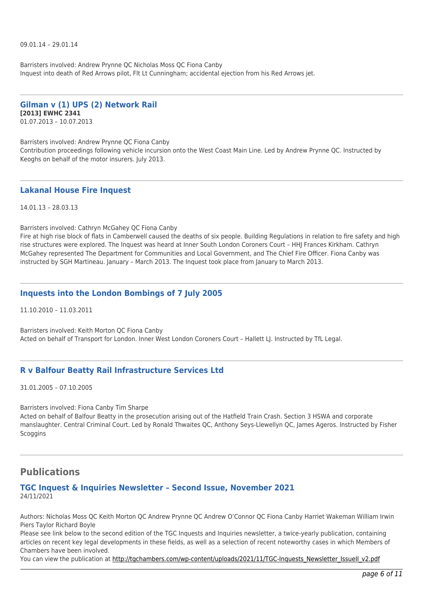09.01.14 – 29.01.14

Barristers involved: Andrew Prynne QC Nicholas Moss QC Fiona Canby Inquest into death of Red Arrows pilot, Flt Lt Cunningham; accidental ejection from his Red Arrows jet.

#### **Gilman v (1) UPS (2) Network Rail [2013] EWHC 2341** 01.07.2013 – 10.07.2013

Barristers involved: Andrew Prynne QC Fiona Canby Contribution proceedings following vehicle incursion onto the West Coast Main Line. Led by Andrew Prynne QC. Instructed by Keoghs on behalf of the motor insurers. July 2013.

### **Lakanal House Fire Inquest**

14.01.13 – 28.03.13

Barristers involved: Cathryn McGahey QC Fiona Canby

Fire at high rise block of flats in Camberwell caused the deaths of six people. Building Regulations in relation to fire safety and high rise structures were explored. The Inquest was heard at Inner South London Coroners Court – HHJ Frances Kirkham. Cathryn McGahey represented The Department for Communities and Local Government, and The Chief Fire Officer. Fiona Canby was instructed by SGH Martineau. January – March 2013. The Inquest took place from January to March 2013.

# **Inquests into the London Bombings of 7 July 2005**

11.10.2010 – 11.03.2011

Barristers involved: Keith Morton QC Fiona Canby Acted on behalf of Transport for London. Inner West London Coroners Court – Hallett LJ. Instructed by TfL Legal.

# **R v Balfour Beatty Rail Infrastructure Services Ltd**

31.01.2005 – 07.10.2005

Barristers involved: Fiona Canby Tim Sharpe

Acted on behalf of Balfour Beatty in the prosecution arising out of the Hatfield Train Crash. Section 3 HSWA and corporate manslaughter. Central Criminal Court. Led by Ronald Thwaites QC, Anthony Seys-Llewellyn QC, James Ageros. Instructed by Fisher **Scoggins** 

# **Publications**

### **TGC Inquest & Inquiries Newsletter – Second Issue, November 2021** 24/11/2021

Authors: Nicholas Moss QC Keith Morton QC Andrew Prynne QC Andrew O'Connor QC Fiona Canby Harriet Wakeman William Irwin Piers Taylor Richard Boyle

Please see link below to the second edition of the TGC Inquests and Inquiries newsletter, a twice-yearly publication, containing articles on recent key legal developments in these fields, as well as a selection of recent noteworthy cases in which Members of Chambers have been involved.

You can view the publication at [http://tgchambers.com/wp-content/uploads/2021/11/TGC-Inquests\\_Newsletter\\_IssueII\\_v2.pdf](http://tgchambers.com/wp-content/uploads/2021/11/TGC-Inquests_Newsletter_IssueII_v2.pdf)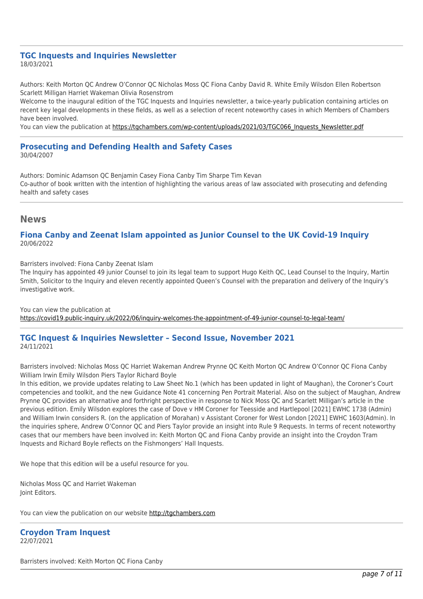#### **TGC Inquests and Inquiries Newsletter** 18/03/2021

Authors: Keith Morton QC Andrew O'Connor QC Nicholas Moss QC Fiona Canby David R. White Emily Wilsdon Ellen Robertson Scarlett Milligan Harriet Wakeman Olivia Rosenstrom

Welcome to the inaugural edition of the TGC Inquests and Inquiries newsletter, a twice-yearly publication containing articles on recent key legal developments in these fields, as well as a selection of recent noteworthy cases in which Members of Chambers have been involved.

You can view the publication at [https://tgchambers.com/wp-content/uploads/2021/03/TGC066\\_Inquests\\_Newsletter.pdf](https://tgchambers.com/wp-content/uploads/2021/03/TGC066_Inquests_Newsletter.pdf)

### **Prosecuting and Defending Health and Safety Cases** 30/04/2007

Authors: Dominic Adamson QC Benjamin Casey Fiona Canby Tim Sharpe Tim Kevan Co-author of book written with the intention of highlighting the various areas of law associated with prosecuting and defending health and safety cases

# **News**

### **Fiona Canby and Zeenat Islam appointed as Junior Counsel to the UK Covid-19 Inquiry** 20/06/2022

Barristers involved: Fiona Canby Zeenat Islam

The Inquiry has appointed 49 junior Counsel to join its legal team to support Hugo Keith QC, Lead Counsel to the Inquiry, Martin Smith, Solicitor to the Inquiry and eleven recently appointed Queen's Counsel with the preparation and delivery of the Inquiry's investigative work.

You can view the publication at <https://covid19.public-inquiry.uk/2022/06/inquiry-welcomes-the-appointment-of-49-junior-counsel-to-legal-team/>

### **TGC Inquest & Inquiries Newsletter – Second Issue, November 2021** 24/11/2021

Barristers involved: Nicholas Moss QC Harriet Wakeman Andrew Prynne QC Keith Morton QC Andrew O'Connor QC Fiona Canby William Irwin Emily Wilsdon Piers Taylor Richard Boyle

In this edition, we provide updates relating to Law Sheet No.1 (which has been updated in light of Maughan), the Coroner's Court competencies and toolkit, and the new Guidance Note 41 concerning Pen Portrait Material. Also on the subject of Maughan, Andrew Prynne QC provides an alternative and forthright perspective in response to Nick Moss QC and Scarlett Milligan's article in the previous edition. Emily Wilsdon explores the case of Dove v HM Coroner for Teesside and Hartlepool [2021] EWHC 1738 (Admin) and William Irwin considers R. (on the application of Morahan) v Assistant Coroner for West London [2021] EWHC 1603(Admin). In the inquiries sphere, Andrew O'Connor QC and Piers Taylor provide an insight into Rule 9 Requests. In terms of recent noteworthy cases that our members have been involved in: Keith Morton QC and Fiona Canby provide an insight into the Croydon Tram Inquests and Richard Boyle reflects on the Fishmongers' Hall Inquests.

We hope that this edition will be a useful resource for you.

Nicholas Moss QC and Harriet Wakeman Joint Editors.

You can view the publication on our website [http://tgchambers.com](https://tgchambers.com/wp-content/uploads/2021/11/TGC-Inquests_Newsletter_IssueII_v2.pdf)

**Croydon Tram Inquest** 22/07/2021

Barristers involved: Keith Morton QC Fiona Canby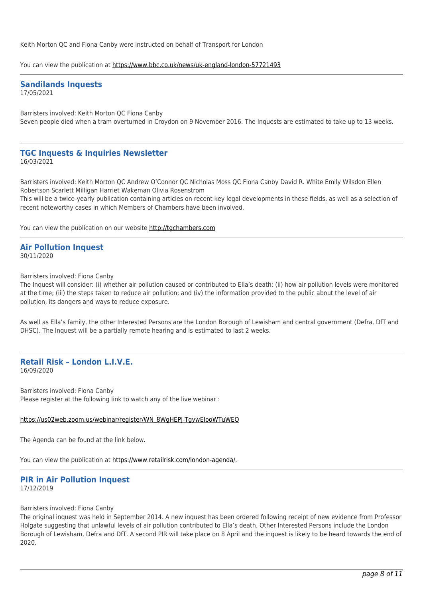Keith Morton QC and Fiona Canby were instructed on behalf of Transport for London

You can view the publication at<https://www.bbc.co.uk/news/uk-england-london-57721493>

#### **Sandilands Inquests** 17/05/2021

Barristers involved: Keith Morton QC Fiona Canby Seven people died when a tram overturned in Croydon on 9 November 2016. The Inquests are estimated to take up to 13 weeks.

#### **TGC Inquests & Inquiries Newsletter** 16/03/2021

Barristers involved: Keith Morton QC Andrew O'Connor QC Nicholas Moss QC Fiona Canby David R. White Emily Wilsdon Ellen Robertson Scarlett Milligan Harriet Wakeman Olivia Rosenstrom This will be a twice-yearly publication containing articles on recent key legal developments in these fields, as well as a selection of recent noteworthy cases in which Members of Chambers have been involved.

You can view the publication on our website [http://tgchambers.com](https://tgchambers.com/wp-content/uploads/2021/03/TGC066_Inquests_Newsletter.pdf)

#### **Air Pollution Inquest** 30/11/2020

Barristers involved: Fiona Canby

The Inquest will consider: (i) whether air pollution caused or contributed to Ella's death; (ii) how air pollution levels were monitored at the time; (iii) the steps taken to reduce air pollution; and (iv) the information provided to the public about the level of air pollution, its dangers and ways to reduce exposure.

As well as Ella's family, the other Interested Persons are the London Borough of Lewisham and central government (Defra, DfT and DHSC). The Inquest will be a partially remote hearing and is estimated to last 2 weeks.

#### **Retail Risk – London L.I.V.E.** 16/09/2020

Barristers involved: Fiona Canby Please register at the following link to watch any of the live webinar :

#### [https://us02web.zoom.us/webinar/register/WN\\_8WgHEPJ-TgywEIooWTuWEQ](https://us02web.zoom.us/webinar/register/WN_8WgHEPJ-TgywEIooWTuWEQ)

The Agenda can be found at the link below.

You can view the publication at<https://www.retailrisk.com/london-agenda/.>

#### **PIR in Air Pollution Inquest** 17/12/2019

#### Barristers involved: Fiona Canby

The original inquest was held in September 2014. A new inquest has been ordered following receipt of new evidence from Professor Holgate suggesting that unlawful levels of air pollution contributed to Ella's death. Other Interested Persons include the London Borough of Lewisham, Defra and DfT. A second PIR will take place on 8 April and the inquest is likely to be heard towards the end of 2020.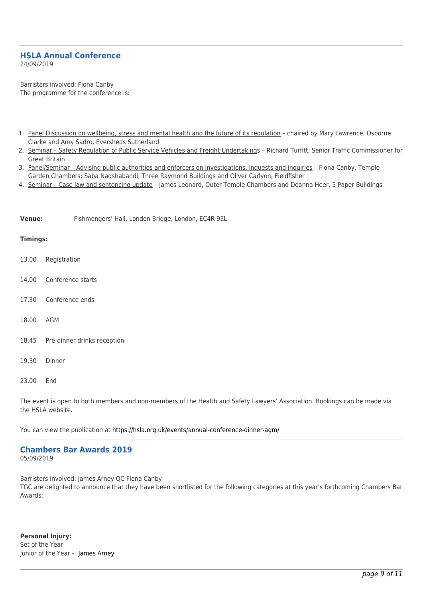#### **HSLA Annual Conference** 24/09/2019

Barristers involved: Fiona Canby The programme for the conference is:

- 1. Panel Discussion on wellbeing, stress and mental health and the future of its regulation chaired by Mary Lawrence, Osborne Clarke and Amy Sadro, Eversheds Sutherland
- 2. Seminar Safety Regulation of Public Service Vehicles and Freight Undertakings Richard Turfitt, Senior Traffic Commissioner for Great Britain
- 3. Panel/Seminar Advising public authorities and enforcers on investigations, inquests and inquiries Fiona Canby, Temple Garden Chambers; Saba Naqshabandi, Three Raymond Buildings and Oliver Carlyon, Fieldfisher
- 4. Seminar Case law and sentencing update James Leonard, Outer Temple Chambers and Deanna Heer, 5 Paper Buildings

**Venue:** Fishmongers' Hall, London Bridge, London, EC4R 9EL

#### **Timings:**

- 13.00 Registration
- 14.00 Conference starts
- 17.30 Conference ends
- 18.00 AGM
- 18.45 Pre-dinner drinks reception
- 19.30 Dinner
- 23.00 End

The event is open to both members and non-members of the Health and Safety Lawyers' Association. Bookings can be made via the HSLA website.

You can view the publication at<https://hsla.org.uk/events/annual-conference-dinner-agm/>

#### **Chambers Bar Awards 2019** 05/09/2019

Barristers involved: James Arney QC Fiona Canby

TGC are delighted to announce that they have been shortlisted for the following categories at this year's forthcoming Chambers Bar Awards:

**Personal Injury:**  Set of the Year Junior of the Year - [James Arney](https://tgchambers.com/member-profile/james-arney/)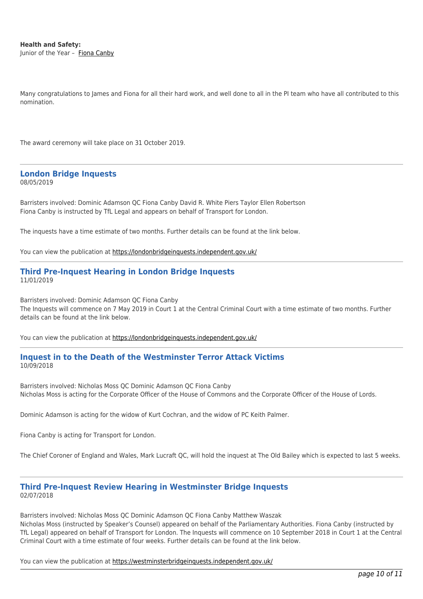Many congratulations to James and Fiona for all their hard work, and well done to all in the PI team who have all contributed to this nomination.

The award ceremony will take place on 31 October 2019.

#### **London Bridge Inquests** 08/05/2019

Barristers involved: Dominic Adamson QC Fiona Canby David R. White Piers Taylor Ellen Robertson Fiona Canby is instructed by TfL Legal and appears on behalf of Transport for London.

The inquests have a time estimate of two months. Further details can be found at the link below.

You can view the publication at<https://londonbridgeinquests.independent.gov.uk/>

### **Third Pre-Inquest Hearing in London Bridge Inquests** 11/01/2019

Barristers involved: Dominic Adamson QC Fiona Canby The Inquests will commence on 7 May 2019 in Court 1 at the Central Criminal Court with a time estimate of two months. Further details can be found at the link below.

You can view the publication at<https://londonbridgeinquests.independent.gov.uk/>

### **Inquest in to the Death of the Westminster Terror Attack Victims** 10/09/2018

Barristers involved: Nicholas Moss QC Dominic Adamson QC Fiona Canby Nicholas Moss is acting for the Corporate Officer of the House of Commons and the Corporate Officer of the House of Lords.

Dominic Adamson is acting for the widow of Kurt Cochran, and the widow of PC Keith Palmer.

Fiona Canby is acting for Transport for London.

The Chief Coroner of England and Wales, Mark Lucraft QC, will hold the inquest at The Old Bailey which is expected to last 5 weeks.

#### **Third Pre-Inquest Review Hearing in Westminster Bridge Inquests** 02/07/2018

Barristers involved: Nicholas Moss QC Dominic Adamson QC Fiona Canby Matthew Waszak

Nicholas Moss (instructed by Speaker's Counsel) appeared on behalf of the Parliamentary Authorities. Fiona Canby (instructed by TfL Legal) appeared on behalf of Transport for London. The Inquests will commence on 10 September 2018 in Court 1 at the Central Criminal Court with a time estimate of four weeks. Further details can be found at the link below.

You can view the publication at<https://westminsterbridgeinquests.independent.gov.uk/>